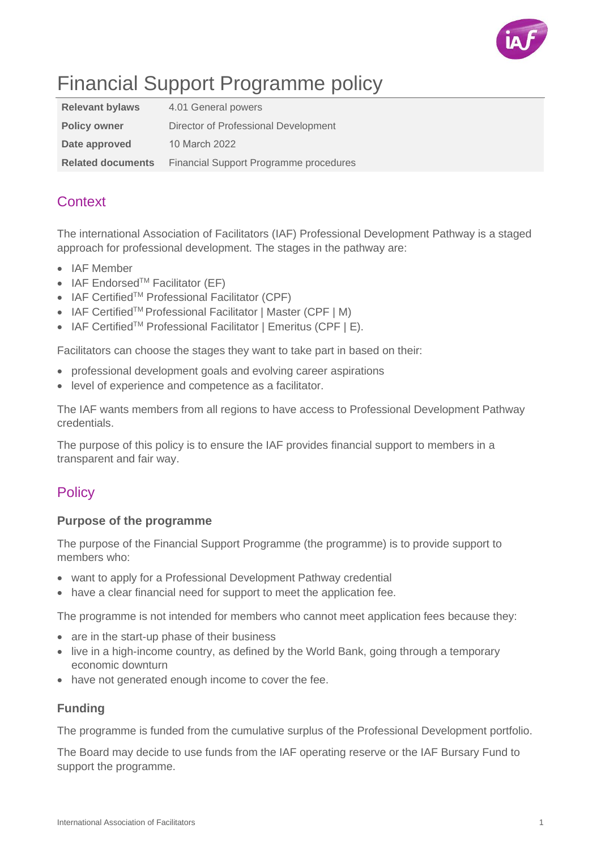

# Financial Support Programme policy

| <b>Relevant bylaws</b>   | 4.01 General powers                           |
|--------------------------|-----------------------------------------------|
| <b>Policy owner</b>      | Director of Professional Development          |
| Date approved            | 10 March 2022                                 |
| <b>Related documents</b> | <b>Financial Support Programme procedures</b> |

# **Context**

The international Association of Facilitators (IAF) Professional Development Pathway is a staged approach for professional development. The stages in the pathway are:

- IAF Member
- IAF Endorsed<sup>TM</sup> Facilitator (EF)
- IAF CertifiedTM Professional Facilitator (CPF)
- IAF CertifiedTM Professional Facilitator | Master (CPF | M)
- IAF Certified<sup>™</sup> Professional Facilitator | Emeritus (CPF | E).

Facilitators can choose the stages they want to take part in based on their:

- professional development goals and evolving career aspirations
- level of experience and competence as a facilitator.

The IAF wants members from all regions to have access to Professional Development Pathway credentials.

The purpose of this policy is to ensure the IAF provides financial support to members in a transparent and fair way.

## **Policy**

### **Purpose of the programme**

The purpose of the Financial Support Programme (the programme) is to provide support to members who:

- want to apply for a Professional Development Pathway credential
- have a clear financial need for support to meet the application fee.

The programme is not intended for members who cannot meet application fees because they:

- are in the start-up phase of their business
- live in a high-income country, as defined by the World Bank, going through a temporary economic downturn
- have not generated enough income to cover the fee.

## **Funding**

The programme is funded from the cumulative surplus of the Professional Development portfolio.

The Board may decide to use funds from the IAF operating reserve or the IAF Bursary Fund to support the programme.